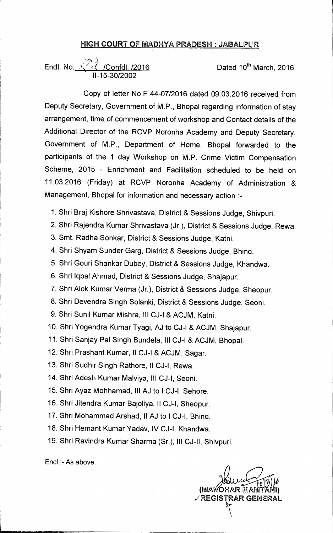## **HIGH COURT OF MADHYA PRADESH : JABALPUR**

Endt. No. <u>Xinck: /Confdl. /2016</u> Dated 10<sup>th</sup> March, 2016 **11-15-30/2002** 

**Copy of letter No.F 44-07/2016 dated 09.03.2016 received from Deputy Secretary, Government of M.P., Bhopal regarding information of stay arrangement, time of commencement of workshop and Contact details of the Additional Director of the RCVP Noronha Academy and Deputy Secretary, Government of M.P., Department of Home, Bhopal forwarded to the participants of the 1 day Workshop on M.P. Crime Victim Compensation Scheme, 2015 - Enrichment and Facilitation scheduled to be held on 11.03.2016 (Friday) at RCVP Noronha Academy of Administration & Management, Bhopal for information and necessary action :-** 

- **1. Shri Braj Kishore Shrivastava, District & Sessions Judge, Shivpuri.**
- **2. Shri Rajendra Kumar Shrivastava (Jr.), District & Sessions Judge, Rewa.**
- **3. Smt. Radha Sonkar, District & Sessions Judge, Katni.**
- **4. Shri Shyam Sunder Garg, District & Sessions Judge, Bhind.**
- **5. Shri Gouri Shankar Dubey, District & Sessions Judge, Khandwa.**
- **6. Shri lqbal Ahmad, District & Sessions Judge, Shajapur.**
- **7. Shri Alok Kumar Verma (Jr.), District & Sessions Judge, Sheopur.**
- **8. Shri Devendra Singh Solanki, District & Sessions Judge, Seoni.**
- **9. Shri Sunil Kumar Mishra, Ill CJ-I & ACJM, Katni.**
- **10. Shri Yogendra Kumar Tyagi, AJ to CJ-I & ACJM, Shajapur.**
- **11. Shri Sanjay Pal Singh Bundela, Ill CJ-I & ACJM, Bhopal.**
- **12. Shri Prashant Kumar, II CJ-I & ACJM, Sagar.**
- **13. Shri Sudhir Singh Rathore, II CJ-I, Rewa.**
- **14. Shri Adesh Kumar Malviya, Ill CJ-I, Seoni.**
- **15. Shri Ayaz Mohhamad, Ill AJ to ICJ-I, Sehore.**
- **16. Shri Jitendra Kumar Bajoliya, II CJ-I, Sheopur.**
- **17. Shri Mohammad Arshad, II AJ to I CJ-I, Bhind.**
- **18. Shri Hemant Kumar Yadav, IV CJ-I, Khandwa.**
- **19. Shri Ravindra Kumar Sharma (Sr.), III CJ-II, Shivpuri.**

Encl :- As above.

Hur (MANOHAR MANITANI) **/REGISTRAR GENERAL**